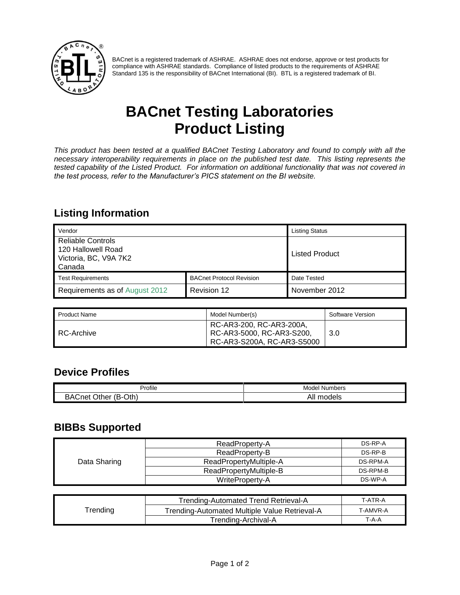

BACnet is a registered trademark of ASHRAE. ASHRAE does not endorse, approve or test products for compliance with ASHRAE standards. Compliance of listed products to the requirements of ASHRAE Standard 135 is the responsibility of BACnet International (BI). BTL is a registered trademark of BI.

# **BACnet Testing Laboratories Product Listing**

*This product has been tested at a qualified BACnet Testing Laboratory and found to comply with all the necessary interoperability requirements in place on the published test date. This listing represents the tested capability of the Listed Product. For information on additional functionality that was not covered in the test process, refer to the Manufacturer's PICS statement on the BI website.*

### **Listing Information**

| Vendor                                                                            |                                 | <b>Listing Status</b> |
|-----------------------------------------------------------------------------------|---------------------------------|-----------------------|
| <b>Reliable Controls</b><br>120 Hallowell Road<br>Victoria, BC, V9A 7K2<br>Canada |                                 | <b>Listed Product</b> |
| <b>Test Requirements</b>                                                          | <b>BACnet Protocol Revision</b> | Date Tested           |
| Requirements as of August 2012                                                    | Revision 12                     | November 2012         |

| Product Name | Model Number(s)                                                                     | Software Version |
|--------------|-------------------------------------------------------------------------------------|------------------|
| RC-Archive   | RC-AR3-200, RC-AR3-200A,<br>RC-AR3-5000, RC-AR3-S200,<br>RC-AR3-S200A, RC-AR3-S5000 | 3.0              |

#### **Device Profiles**

| $\cdots$<br>Profile<br>______                                 | Model<br>Numbers<br>.<br>__     |
|---------------------------------------------------------------|---------------------------------|
| -<br>Oth)<br>--<br>$5^{\Delta'}$<br>. .<br>`ו∩י<br>the.<br>-- | $\sim$<br>،ا ۱۵<br>טוסי "<br>¬. |

#### **BIBBs Supported**

|              | ReadProperty-A         | DS-RP-A  |
|--------------|------------------------|----------|
|              | ReadProperty-B         | DS-RP-B  |
| Data Sharing | ReadPropertyMultiple-A | DS-RPM-A |
|              | ReadPropertyMultiple-B | DS-RPM-B |
|              | WriteProperty-A        | DS-WP-A  |

|          | Trending-Automated Trend Retrieval-A          | T-ATR-A  |
|----------|-----------------------------------------------|----------|
| ™rending | Trending-Automated Multiple Value Retrieval-A | T-AMVR-A |
|          | Trending-Archival-A                           | $T-A-A$  |